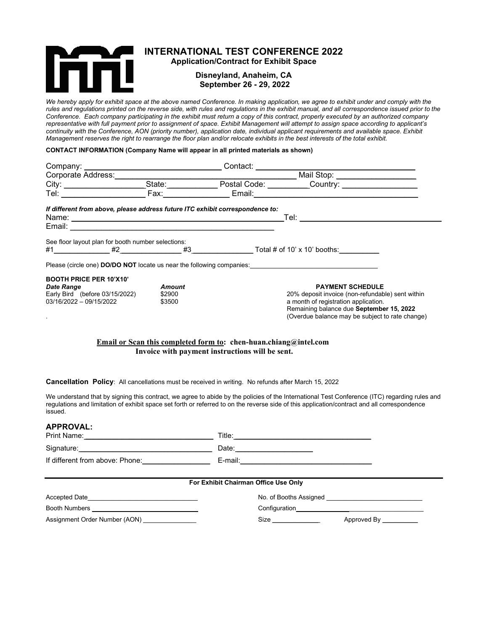

# INTERNATIONAL TEST CONFERENCE 2022

Application/Contract for Exhibit Space

# Disneyland, Anaheim, CA September 26 - 29, 2022

We hereby apply for exhibit space at the above named Conference. In making application, we agree to exhibit under and comply with the rules and regulations printed on the reverse side, with rules and regulations in the exhibit manual, and all correspondence issued prior to the Conference. Each company participating in the exhibit must return a copy of this contract, properly executed by an authorized company representative with full payment prior to assignment of space. Exhibit Management will attempt to assign space according to applicant's continuity with the Conference, AON (priority number), application date, individual applicant requirements and available space. Exhibit Management reserves the right to rearrange the floor plan and/or relocate exhibits in the best interests of the total exhibit.

# CONTACT INFORMATION (Company Name will appear in all printed materials as shown)

| If different from above, please address future ITC exhibit correspondence to:                                    |                            |                                                                         | <u>Tel: ______________________</u>                                                                                                                                                                                                                                                            |
|------------------------------------------------------------------------------------------------------------------|----------------------------|-------------------------------------------------------------------------|-----------------------------------------------------------------------------------------------------------------------------------------------------------------------------------------------------------------------------------------------------------------------------------------------|
|                                                                                                                  |                            |                                                                         |                                                                                                                                                                                                                                                                                               |
| See floor layout plan for booth number selections:                                                               |                            |                                                                         |                                                                                                                                                                                                                                                                                               |
|                                                                                                                  |                            |                                                                         | Please (circle one) DO/DO NOT locate us near the following companies:                                                                                                                                                                                                                         |
| <b>BOOTH PRICE PER 10'X10'</b><br><b>Date Range</b><br>Early Bird (before 03/15/2022)<br>03/16/2022 - 09/15/2022 | Amount<br>\$2900<br>\$3500 | <b>Email or Scan this completed form to:</b> chen-huan.chiang@intel.com | <b>PAYMENT SCHEDULE</b><br>20% deposit invoice (non-refundable) sent within<br>a month of registration application.<br>Remaining balance due September 15, 2022<br>(Overdue balance may be subject to rate change)                                                                            |
|                                                                                                                  |                            | Invoice with payment instructions will be sent.                         |                                                                                                                                                                                                                                                                                               |
| <b>Cancellation Policy:</b> All cancellations must be received in writing. No refunds after March 15, 2022       |                            |                                                                         |                                                                                                                                                                                                                                                                                               |
| issued.                                                                                                          |                            |                                                                         | We understand that by signing this contract, we agree to abide by the policies of the International Test Conference (ITC) regarding rules and<br>regulations and limitation of exhibit space set forth or referred to on the reverse side of this application/contract and all correspondence |
| <b>APPROVAL:</b>                                                                                                 |                            |                                                                         |                                                                                                                                                                                                                                                                                               |

| AFFNUVAL.                                         |                                      |                        |  |  |
|---------------------------------------------------|--------------------------------------|------------------------|--|--|
|                                                   |                                      |                        |  |  |
|                                                   |                                      |                        |  |  |
|                                                   | For Exhibit Chairman Office Use Only |                        |  |  |
| Accepted Date                                     |                                      |                        |  |  |
| Booth Numbers ___________________________________ |                                      |                        |  |  |
| Assignment Order Number (AON)                     |                                      | Approved By __________ |  |  |
|                                                   |                                      |                        |  |  |